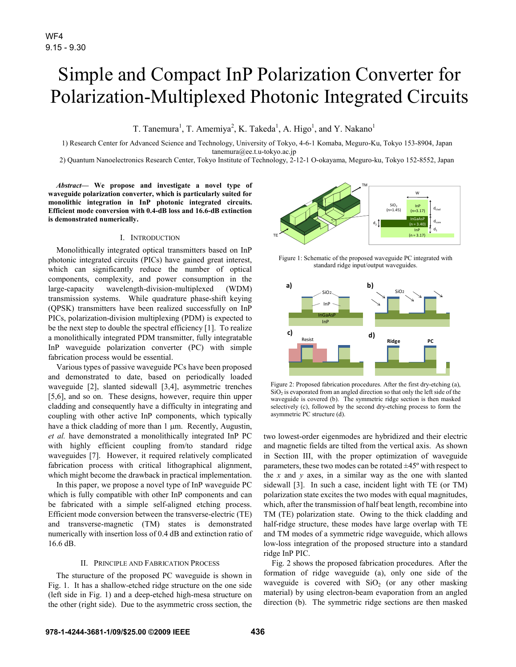# Simple and Compact InP Polarization Converter for Polarization-Multiplexed Photonic Integrated Circuits

T. Tanemura<sup>1</sup>, T. Amemiya<sup>2</sup>, K. Takeda<sup>1</sup>, A. Higo<sup>1</sup>, and Y. Nakano<sup>1</sup>

1) Research Center for Advanced Science and Technology, University of Tokyo, 4-6-1 Komaba, Meguro-Ku, Tokyo 153-8904, Japan tanemura@ee.t.u-tokyo.ac.jp

2) Quantum Nanoelectronics Research Center, Tokyo Institute of Technology, 2-12-1 O-okayama, Meguro-ku, Tokyo 152-8552, Japan

*Abstract***— We propose and investigate a novel type of waveguide polarization converter, which is particularly suited for monolithic integration in InP photonic integrated circuits. Efficient mode conversion with 0.4-dB loss and 16.6-dB extinction is demonstrated numerically.** 

### I. INTRODUCTION

Monolithically integrated optical transmitters based on InP photonic integrated circuits (PICs) have gained great interest, which can significantly reduce the number of optical components, complexity, and power consumption in the large-capacity wavelength-division-multiplexed (WDM) transmission systems. While quadrature phase-shift keying (QPSK) transmitters have been realized successfully on InP PICs, polarization-division multiplexing (PDM) is expected to be the next step to double the spectral efficiency [1]. To realize a monolithically integrated PDM transmitter, fully integratable InP waveguide polarization converter (PC) with simple fabrication process would be essential.

Various types of passive waveguide PCs have been proposed and demonstrated to date, based on periodically loaded waveguide [2], slanted sidewall [3,4], asymmetric trenches [5,6], and so on. These designs, however, require thin upper cladding and consequently have a difficulty in integrating and coupling with other active InP components, which typically have a thick cladding of more than 1  $\mu$ m. Recently, Augustin, *et al.* have demonstrated a monolithically integrated InP PC with highly efficient coupling from/to standard ridge waveguides [7]. However, it required relatively complicated fabrication process with critical lithographical alignment, which might become the drawback in practical implementation.

In this paper, we propose a novel type of InP waveguide PC which is fully compatible with other InP components and can be fabricated with a simple self-aligned etching process. Efficient mode conversion between the transverse-electric (TE) and transverse-magnetic (TM) states is demonstrated numerically with insertion loss of 0.4 dB and extinction ratio of 16.6 dB.

## II. PRINCIPLE AND FABRICATION PROCESS

The sturucture of the proposed PC waveguide is shown in Fig. 1. It has a shallow-etched ridge structure on the one side (left side in Fig. 1) and a deep-etched high-mesa structure on the other (right side). Due to the asymmetric cross section, the



Figure 1: Schematic of the proposed waveguide PC integrated with standard ridge input/output waveguides.



Figure 2: Proposed fabrication procedures. After the first dry-etching (a),  $SiO<sub>2</sub>$  is evaporated from an angled direction so that only the left side of the waveguide is covered (b). The symmetric ridge section is then masked selectively (c), followed by the second dry-etching process to form the asymmetric PC structure (d).

two lowest-order eigenmodes are hybridized and their electric and magnetic fields are tilted from the vertical axis. As shown in Section III, with the proper optimization of waveguide parameters, these two modes can be rotated ±45º with respect to the *x* and *y* axes, in a similar way as the one with slanted sidewall [3]. In such a case, incident light with TE (or TM) polarization state excites the two modes with equal magnitudes, which, after the transmission of half beat length, recombine into TM (TE) polarization state. Owing to the thick cladding and half-ridge structure, these modes have large overlap with TE and TM modes of a symmetric ridge waveguide, which allows low-loss integration of the proposed structure into a standard ridge InP PIC.

Fig. 2 shows the proposed fabrication procedures. After the formation of ridge waveguide (a), only one side of the waveguide is covered with  $SiO<sub>2</sub>$  (or any other masking material) by using electron-beam evaporation from an angled direction (b). The symmetric ridge sections are then masked